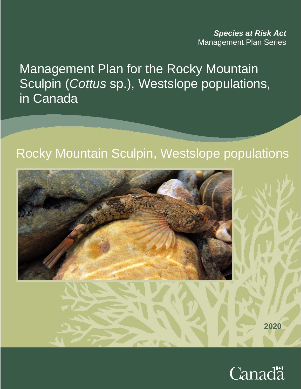*Species at Risk Act* Management Plan Series

Management Plan for the Rocky Mountain Sculpin (*Cottus* sp.), Westslope populations, in Canada

# Rocky Mountain Sculpin, Westslope populations



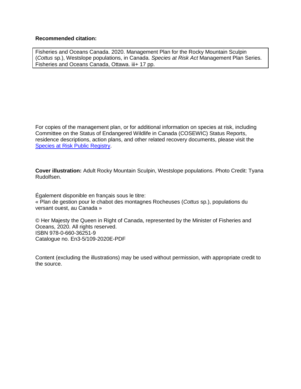#### **Recommended citation:**

Fisheries and Oceans Canada. 2020. Management Plan for the Rocky Mountain Sculpin (*Cottus* sp.), Westslope populations, in Canada. *Species at Risk Act* Management Plan Series. Fisheries and Oceans Canada, Ottawa. iii+ 17 pp.

For copies of the management plan, or for additional information on species at risk, including Committee on the Status of Endangered Wildlife in Canada (COSEWIC) Status Reports, residence descriptions, action plans, and other related recovery documents, please visit the [Species at Risk](http://www.sararegistry.gc.ca/default.asp?lang=En&n=24F7211B-1) Public Registry.

**Cover illustration:** Adult Rocky Mountain Sculpin, Westslope populations. Photo Credit: Tyana Rudolfsen.

Également disponible en français sous le titre: « Plan de gestion pour le chabot des montagnes Rocheuses (*Cottus* sp.), populations du versant ouest, au Canada »

© Her Majesty the Queen in Right of Canada, represented by the Minister of Fisheries and Oceans, 2020. All rights reserved. ISBN 978-0-660-36251-9 Catalogue no. En3-5/109-2020E-PDF

Content (excluding the illustrations) may be used without permission, with appropriate credit to the source.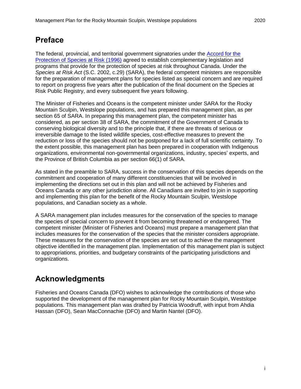# <span id="page-2-0"></span>**Preface**

The federal, provincial, and territorial government signatories under the [Accord for the](http://www.sararegistry.gc.ca/default.asp?lang=En&n=92D90833-1)  [Protection of Species at Risk \(1996\)](http://www.sararegistry.gc.ca/default.asp?lang=En&n=92D90833-1) agreed to establish complementary legislation and programs that provide for the protection of species at risk throughout Canada. Under the *Species at Risk Act* (S.C. 2002, c.29) (SARA), the federal competent ministers are responsible for the preparation of management plans for species listed as special concern and are required to report on progress five years after the publication of the final document on the Species at Risk Public Registry, and every subsequent five years following.

The Minister of Fisheries and Oceans is the competent minister under SARA for the Rocky Mountain Sculpin, Westslope populations, and has prepared this management plan, as per section 65 of SARA. In preparing this management plan, the competent minister has considered, as per section 38 of SARA, the commitment of the Government of Canada to conserving biological diversity and to the principle that, if there are threats of serious or irreversible damage to the listed wildlife species, cost-effective measures to prevent the reduction or loss of the species should not be postponed for a lack of full scientific certainty. To the extent possible, this management plan has been prepared in cooperation with Indigenous organizations, environmental non-governmental organizations, industry, species' experts, and the Province of British Columbia as per section 66(1) of SARA.

As stated in the preamble to SARA, success in the conservation of this species depends on the commitment and cooperation of many different constituencies that will be involved in implementing the directions set out in this plan and will not be achieved by Fisheries and Oceans Canada or any other jurisdiction alone. All Canadians are invited to join in supporting and implementing this plan for the benefit of the Rocky Mountain Sculpin, Westslope populations, and Canadian society as a whole.

A SARA management plan includes measures for the conservation of the species to manage the species of special concern to prevent it from becoming threatened or endangered. The competent minister (Minister of Fisheries and Oceans) must prepare a management plan that includes measures for the conservation of the species that the minister considers appropriate. These measures for the conservation of the species are set out to achieve the management objective identified in the management plan. Implementation of this management plan is subject to appropriations, priorities, and budgetary constraints of the participating jurisdictions and organizations.

# <span id="page-2-1"></span>**Acknowledgments**

Fisheries and Oceans Canada (DFO) wishes to acknowledge the contributions of those who supported the development of the management plan for Rocky Mountain Sculpin, Westslope populations. This management plan was drafted by Patricia Woodruff, with input from Ahdia Hassan (DFO), Sean MacConnachie (DFO) and Martin Nantel (DFO).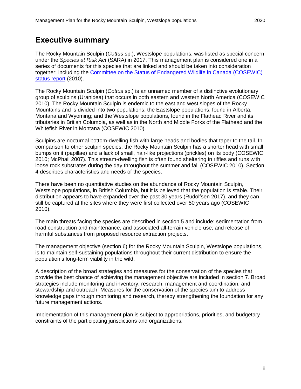## <span id="page-3-0"></span>**Executive summary**

The Rocky Mountain Sculpin (*Cottus* sp.), Westslope populations, was listed as special concern under the *Species at Risk Act* (SARA) in 2017. This management plan is considered one in a series of documents for this species that are linked and should be taken into consideration together; including the [Committee on the Status of Endangered Wildlife in Canada \(COSEWIC\)](https://wildlife-species.canada.ca/species-risk-registry/virtual_sara/files/cosewic/sr_Rocky%20Mountain%20Sculpin_0810_e.pdf)  [status report](https://wildlife-species.canada.ca/species-risk-registry/virtual_sara/files/cosewic/sr_Rocky%20Mountain%20Sculpin_0810_e.pdf) (2010).

The Rocky Mountain Sculpin (*Cottus* sp.) is an unnamed member of a distinctive evolutionary group of sculpins (Uranidea) that occurs in both eastern and western North America (COSEWIC 2010). The Rocky Mountain Sculpin is endemic to the east and west slopes of the Rocky Mountains and is divided into two populations: the Eastslope populations, found in Alberta, Montana and Wyoming; and the Westslope populations, found in the Flathead River and its tributaries in British Columbia, as well as in the North and Middle Forks of the Flathead and the Whitefish River in Montana (COSEWIC 2010).

Sculpins are nocturnal bottom-dwelling fish with large heads and bodies that taper to the tail. In comparison to other sculpin species, the Rocky Mountain Sculpin has a shorter head with small bumps on it (papillae) and a lack of small, hair-like projections (prickles) on its body (COSEWIC 2010; McPhail 2007). This stream-dwelling fish is often found sheltering in riffles and runs with loose rock substrates during the day throughout the summer and fall (COSEWIC 2010). Section 4 describes characteristics and needs of the species.

There have been no quantitative studies on the abundance of Rocky Mountain Sculpin, Westslope populations, in British Columbia, but it is believed that the population is stable. Their distribution appears to have expanded over the past 30 years (Rudolfsen 2017), and they can still be captured at the sites where they were first collected over 50 years ago (COSEWIC 2010).

The main threats facing the species are described in section 5 and include: sedimentation from road construction and maintenance, and associated all-terrain vehicle use; and release of harmful substances from proposed resource extraction projects.

The management objective (section 6) for the Rocky Mountain Sculpin, Westslope populations, is to maintain self-sustaining populations throughout their current distribution to ensure the population's long-term viability in the wild.

A description of the broad strategies and measures for the conservation of the species that provide the best chance of achieving the management objective are included in section 7. Broad strategies include monitoring and inventory, research, management and coordination, and stewardship and outreach. Measures for the conservation of the species aim to address knowledge gaps through monitoring and research, thereby strengthening the foundation for any future management actions.

Implementation of this management plan is subject to appropriations, priorities, and budgetary constraints of the participating jurisdictions and organizations.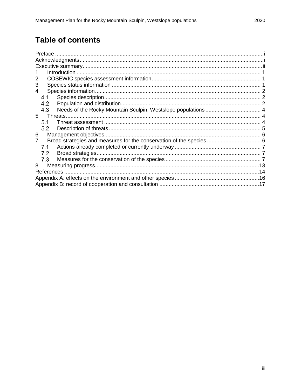# **Table of contents**

| 3                                   |  |
|-------------------------------------|--|
| 4                                   |  |
| 4.1                                 |  |
| 4.2<br>Population and distribution. |  |
| 4.3                                 |  |
| 5                                   |  |
| 5.1                                 |  |
| 5.2                                 |  |
| Management objectives.<br>6         |  |
|                                     |  |
| 7.1                                 |  |
| 7.2                                 |  |
| 7.3                                 |  |
| 8                                   |  |
| <b>References</b>                   |  |
|                                     |  |
|                                     |  |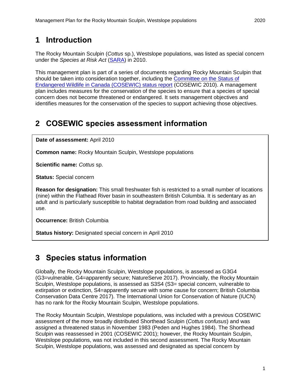# <span id="page-5-0"></span>**1 Introduction**

The Rocky Mountain Sculpin (*Cottus* sp.), Westslope populations, was listed as special concern under the *Species at Risk Act* [\(SARA\)](https://laws-lois.justice.gc.ca/eng/acts/s-15.3/) in 2010.

This management plan is part of a series of documents regarding Rocky Mountain Sculpin that should be taken into consideration together, including the [Committee on the Status of](https://wildlife-species.canada.ca/species-risk-registry/virtual_sara/files/cosewic/sr_Rocky%20Mountain%20Sculpin_0810_e.pdf)  [Endangered Wildlife in Canada \(COSEWIC\) status report](https://wildlife-species.canada.ca/species-risk-registry/virtual_sara/files/cosewic/sr_Rocky%20Mountain%20Sculpin_0810_e.pdf) (COSEWIC 2010). A management plan includes measures for the conservation of the species to ensure that a species of special concern does not become threatened or endangered. It sets management objectives and identifies measures for the conservation of the species to support achieving those objectives.

# <span id="page-5-1"></span>**2 COSEWIC species assessment information**

**Date of assessment:** April 2010

**Common name:** Rocky Mountain Sculpin, Westslope populations

**Scientific name:** *Cottus* sp.

**Status:** Special concern

**Reason for designation:** This small freshwater fish is restricted to a small number of locations (nine) within the Flathead River basin in southeastern British Columbia. It is sedentary as an adult and is particularly susceptible to habitat degradation from road building and associated use.

**Occurrence:** British Columbia

**Status history:** Designated special concern in April 2010

## <span id="page-5-2"></span>**3 Species status information**

Globally, the Rocky Mountain Sculpin, Westslope populations, is assessed as G3G4 (G3=vulnerable, G4=apparently secure; NatureServe 2017). Provincially, the Rocky Mountain Sculpin, Westslope populations, is assessed as S3S4 (S3= special concern, vulnerable to extirpation or extinction, S4=apparently secure with some cause for concern; British Columbia Conservation Data Centre 2017). The International Union for Conservation of Nature (IUCN) has no rank for the Rocky Mountain Sculpin, Westslope populations.

The Rocky Mountain Sculpin, Westslope populations, was included with a previous COSEWIC assessment of the more broadly distributed Shorthead Sculpin (*Cottus confusus*) and was assigned a threatened status in November 1983 (Peden and Hughes 1984). The Shorthead Sculpin was reassessed in 2001 (COSEWIC 2001); however, the Rocky Mountain Sculpin, Westslope populations, was not included in this second assessment. The Rocky Mountain Sculpin, Westslope populations, was assessed and designated as special concern by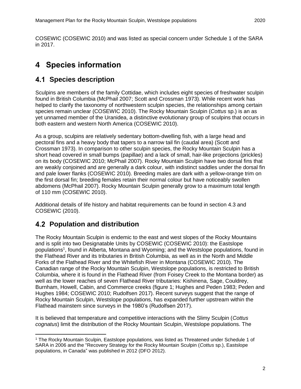COSEWIC (COSEWIC 2010) and was listed as special concern under Schedule 1 of the SARA in 2017.

# <span id="page-6-0"></span>**4 Species information**

### <span id="page-6-1"></span>**4.1 Species description**

Sculpins are members of the family Cottidae, which includes eight species of freshwater sculpin found in British Columbia (McPhail 2007; Scott and Crossman 1973). While recent work has helped to clarify the taxonomy of northwestern sculpin species, the relationships among certain species remain unclear (COSEWIC 2010). The Rocky Mountain Sculpin (*Cottus* sp.) is an as yet unnamed member of the Uranidea, a distinctive evolutionary group of sculpins that occurs in both eastern and western North America (COSEWIC 2010).

As a group, sculpins are relatively sedentary bottom-dwelling fish, with a large head and pectoral fins and a heavy body that tapers to a narrow tail fin (caudal area) (Scott and Crossman 1973). In comparison to other sculpin species, the Rocky Mountain Sculpin has a short head covered in small bumps (papillae) and a lack of small, hair-like projections (prickles) on its body (COSEWIC 2010; McPhail 2007). Rocky Mountain Sculpin have two dorsal fins that are weakly conjoined and are generally a dark colour, with indistinct saddles under the dorsal fin and pale lower flanks (COSEWIC 2010). Breeding males are dark with a yellow-orange trim on the first dorsal fin; breeding females retain their normal colour but have noticeably swollen abdomens (McPhail 2007). Rocky Mountain Sculpin generally grow to a maximum total length of 110 mm (COSEWIC 2010).

Additional details of life history and habitat requirements can be found in section 4.3 and COSEWIC (2010).

### <span id="page-6-2"></span>**Population and distribution**

 $\overline{a}$ 

The Rocky Mountain Sculpin is endemic to the east and west slopes of the Rocky Mountains and is split into two Designatable Units by COSEWIC (COSEWIC 2010): the Eastslope populations 1 , found in Alberta, Montana and Wyoming; and the Westslope populations, found in the Flathead River and its tributaries in British Columbia, as well as in the North and Middle Forks of the Flathead River and the Whitefish River in Montana (COSEWIC 2010). The Canadian range of the Rocky Mountain Sculpin, Westslope populations, is restricted to British Columbia, where it is found in the Flathead River (from Foisey Creek to the Montana border) as well as the lower reaches of seven Flathead River tributaries: Kishinena, Sage, Couldrey, Burnham, Howell, Cabin, and Commerce creeks (figure 1; Hughes and Peden 1983; Peden and Hughes 1984; COSEWIC 2010; Rudolfsen 2017). Recent surveys suggest that the range of Rocky Mountain Sculpin, Westslope populations, has expanded further upstream within the Flathead mainstem since surveys in the 1980's (Rudolfsen 2017).

It is believed that temperature and competitive interactions with the Slimy Sculpin (*Cottus cognatus*) limit the distribution of the Rocky Mountain Sculpin, Westslope populations. The

<sup>1</sup> The Rocky Mountain Sculpin, Eastslope populations, was listed as Threatened under Schedule 1 of SARA in 2006 and the "Recovery Strategy for the Rocky Mountain Sculpin (*Cottus* sp.), Eastslope populations, in Canada" was published in 2012 (DFO 2012).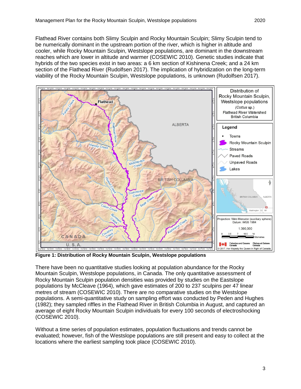Flathead River contains both Slimy Sculpin and Rocky Mountain Sculpin; Slimy Sculpin tend to be numerically dominant in the upstream portion of the river, which is higher in altitude and cooler, while Rocky Mountain Sculpin, Westslope populations, are dominant in the downstream reaches which are lower in altitude and warmer (COSEWIC 2010). Genetic studies indicate that hybrids of the two species exist in two areas: a 6 km section of Kishinena Creek; and a 24 km section of the Flathead River (Rudolfsen 2017). The implication of hybridization on the long-term viability of the Rocky Mountain Sculpin, Westslope populations, is unknown (Rudolfsen 2017).



**Figure 1: Distribution of Rocky Mountain Sculpin, Westslope populations** 

There have been no quantitative studies looking at population abundance for the Rocky Mountain Sculpin, Westslope populations, in Canada. The only quantitative assessment of Rocky Mountain Sculpin population densities was provided by studies on the Eastslope populations by McCleave (1964), which gave estimates of 200 to 237 sculpins per 47 linear metres of stream (COSEWIC 2010). There are no comparative studies on the Westslope populations. A semi-quantitative study on sampling effort was conducted by Peden and Hughes (1982); they sampled riffles in the Flathead River in British Columbia in August, and captured an average of eight Rocky Mountain Sculpin individuals for every 100 seconds of electroshocking (COSEWIC 2010).

Without a time series of population estimates, population fluctuations and trends cannot be evaluated; however, fish of the Westslope populations are still present and easy to collect at the locations where the earliest sampling took place (COSEWIC 2010).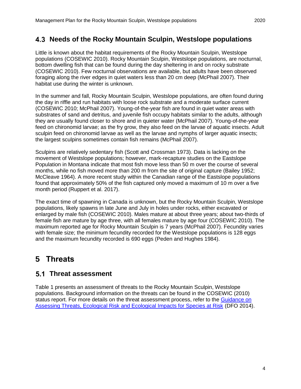#### <span id="page-8-0"></span>**Needs of the Rocky Mountain Sculpin, Westslope populations**

Little is known about the habitat requirements of the Rocky Mountain Sculpin, Westslope populations (COSEWIC 2010). Rocky Mountain Sculpin, Westslope populations, are nocturnal, bottom dwelling fish that can be found during the day sheltering in and on rocky substrate (COSEWIC 2010). Few nocturnal observations are available, but adults have been observed foraging along the river edges in quiet waters less than 20 cm deep (McPhail 2007). Their habitat use during the winter is unknown.

In the summer and fall, Rocky Mountain Sculpin, Westslope populations, are often found during the day in riffle and run habitats with loose rock substrate and a moderate surface current (COSEWIC 2010; McPhail 2007). Young-of-the-year fish are found in quiet water areas with substrates of sand and detritus, and juvenile fish occupy habitats similar to the adults, although they are usually found closer to shore and in quieter water (McPhail 2007). Young-of-the-year feed on chironomid larvae; as the fry grow, they also feed on the larvae of aquatic insects. Adult sculpin feed on chironomid larvae as well as the larvae and nymphs of larger aquatic insects; the largest sculpins sometimes contain fish remains (McPhail 2007).

Sculpins are relatively sedentary fish (Scott and Crossman 1973). Data is lacking on the movement of Westslope populations; however, mark-recapture studies on the Eastslope Population in Montana indicate that most fish move less than 50 m over the course of several months, while no fish moved more than 200 m from the site of original capture (Bailey 1952; McCleave 1964). A more recent study within the Canadian range of the Eastslope populations found that approximately 50% of the fish captured only moved a maximum of 10 m over a five month period (Ruppert et al. 2017).

The exact time of spawning in Canada is unknown, but the Rocky Mountain Sculpin, Westslope populations, likely spawns in late June and July in holes under rocks, either excavated or enlarged by male fish (COSEWIC 2010). Males mature at about three years; about two-thirds of female fish are mature by age three, with all females mature by age four (COSEWIC 2010). The maximum reported age for Rocky Mountain Sculpin is 7 years (McPhail 2007). Fecundity varies with female size; the minimum fecundity recorded for the Westslope populations is 128 eggs and the maximum fecundity recorded is 690 eggs (Peden and Hughes 1984).

# <span id="page-8-1"></span>**5 Threats**

#### <span id="page-8-2"></span>**Threat assessment**

Table 1 presents an assessment of threats to the Rocky Mountain Sculpin, Westslope populations. Background information on the threats can be found in the COSEWIC (2010) status report. For more details on the threat assessment process, refer to the [Guidance on](http://www.dfo-mpo.gc.ca/csas-sccs/Publications/SAR-AS/2014/2014_013-eng.html)  [Assessing Threats, Ecological Risk and Ecological Impacts for Species at Risk](http://www.dfo-mpo.gc.ca/csas-sccs/Publications/SAR-AS/2014/2014_013-eng.html) (DFO 2014).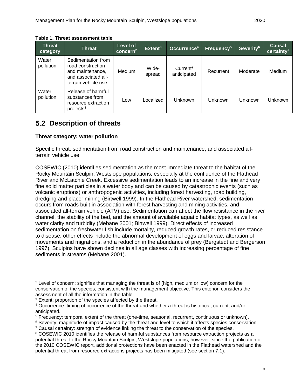| <b>Threat</b><br>category | <b>Threat</b>                                                                                             | Level of<br>$\overline{\phantom{a}}$ concern $^2$ $\overline{\phantom{a}}$ | Extent <sup>3</sup> | Occurrence <sup>4</sup> | Frequency <sup>5</sup> | Severity <sup>6</sup> | Causal<br>certainty <sup>7</sup> |
|---------------------------|-----------------------------------------------------------------------------------------------------------|----------------------------------------------------------------------------|---------------------|-------------------------|------------------------|-----------------------|----------------------------------|
| Water<br>pollution        | Sedimentation from<br>road construction<br>and maintenance,<br>and associated all-<br>terrain vehicle use | <b>Medium</b>                                                              | Wide-<br>spread     | Current/<br>anticipated | Recurrent              | Moderate              | Medium                           |
| Water<br>pollution        | Release of harmful<br>substances from<br>resource extraction<br>projects <sup>8</sup>                     | Low                                                                        | Localized           | <b>Unknown</b>          | Unknown                | Unknown               | Unknown                          |

### <span id="page-9-0"></span>**5.2 Description of threats**

#### **Threat category: water pollution**

Specific threat: sedimentation from road construction and maintenance, and associated allterrain vehicle use

COSEWIC (2010) identifies sedimentation as the most immediate threat to the habitat of the Rocky Mountain Sculpin, Westslope populations, especially at the confluence of the Flathead River and McLatchie Creek. Excessive sedimentation leads to an increase in the fine and very fine solid matter particles in a water body and can be caused by catastrophic events (such as volcanic eruptions) or anthropogenic activities, including forest harvesting, road building, dredging and placer mining (Birtwell 1999). In the Flathead River watershed, sedimentation occurs from roads built in association with forest harvesting and mining activities, and associated all-terrain vehicle (ATV) use. Sedimentation can affect the flow resistance in the river channel, the stability of the bed, and the amount of available aquatic habitat types, as well as water clarity and turbidity (Mebane 2001; Birtwell 1999). Direct effects of increased sedimentation on freshwater fish include mortality, reduced growth rates, or reduced resistance to disease; other effects include the abnormal development of eggs and larvae, alteration of movements and migrations, and a reduction in the abundance of prey (Bergstedt and Bergerson 1997). Sculpins have shown declines in all age classes with increasing percentage of fine sediments in streams (Mebane 2001).

 <sup>2</sup> Level of concern: signifies that managing the threat is of (high, medium or low) concern for the conservation of the species, consistent with the management objective. This criterion considers the assessment of all the information in the table.

<sup>&</sup>lt;sup>3</sup> Extent: proportion of the species affected by the threat.

<sup>4</sup> Occurrence: timing of occurrence of the threat and whether a threat is historical, current, and/or anticipated.

<sup>5</sup> Frequency: temporal extent of the threat (one-time, seasonal, recurrent, continuous or unknown).

<sup>6</sup> Severity: magnitude of impact caused by the threat and level to which it affects species conservation.

 $7$  Causal certainty: strength of evidence linking the threat to the conservation of the species.

<sup>&</sup>lt;sup>8</sup> COSEWIC 2010 identifies the release of harmful substances from resource extraction projects as a potential threat to the Rocky Mountain Sculpin, Westslope populations; however, since the publication of the 2010 COSEWIC report, additional protections have been enacted in the Flathead watershed and the potential threat from resource extractions projects has been mitigated (see section 7.1).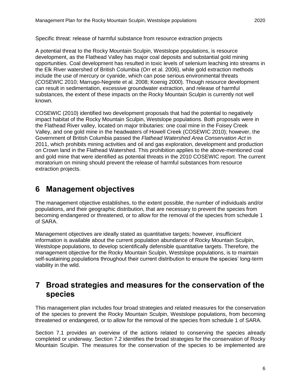A potential threat to the Rocky Mountain Sculpin, Westslope populations, is resource development, as the Flathead Valley has major coal deposits and substantial gold mining opportunities. Coal development has resulted in toxic levels of selenium leaching into streams in the Elk River watershed of British Columbia (Orr et al. 2006), while gold extraction methods include the use of mercury or cyanide, which can pose serious environmental threats (COSEWIC 2010; Marrugo-Negrete et al. 2008; Koenig 2000). Though resource development can result in sedimentation, excessive groundwater extraction, and release of harmful substances, the extent of these impacts on the Rocky Mountain Sculpin is currently not well known.

COSEWIC (2010) identified two development proposals that had the potential to negatively impact habitat of the Rocky Mountain Sculpin, Westslope populations. Both proposals were in the Flathead River valley, located on major tributaries: one coal mine in the Foisey Creek Valley, and one gold mine in the headwaters of Howell Creek (COSEWIC 2010); however, the Government of British Columbia passed the *Flathead Watershed Area Conservation Act* in 2011, which prohibits mining activities and oil and gas exploration, development and production on Crown land in the Flathead Watershed. This prohibition applies to the above-mentioned coal and gold mine that were identified as potential threats in the 2010 COSEWIC report. The current moratorium on mining should prevent the release of harmful substances from resource extraction projects.

## <span id="page-10-0"></span>**6 Management objectives**

The management objective establishes, to the extent possible, the number of individuals and/or populations, and their geographic distribution, that are necessary to prevent the species from becoming endangered or threatened, or to allow for the removal of the species from schedule 1 of SARA.

Management objectives are ideally stated as quantitative targets; however, insufficient information is available about the current population abundance of Rocky Mountain Sculpin, Westslope populations, to develop scientifically defensible quantitative targets. Therefore, the management objective for the Rocky Mountain Sculpin, Westslope populations, is to maintain self-sustaining populations throughout their current distribution to ensure the species' long-term viability in the wild.

### <span id="page-10-1"></span>**7 Broad strategies and measures for the conservation of the species**

This management plan includes four broad strategies and related measures for the conservation of the species to prevent the Rocky Mountain Sculpin, Westslope populations, from becoming threatened or endangered, or to allow for the removal of the species from schedule 1 of SARA.

Section 7.1 provides an overview of the actions related to conserving the species already completed or underway. Section 7.2 identifies the broad strategies for the conservation of Rocky Mountain Sculpin. The measures for the conservation of the species to be implemented are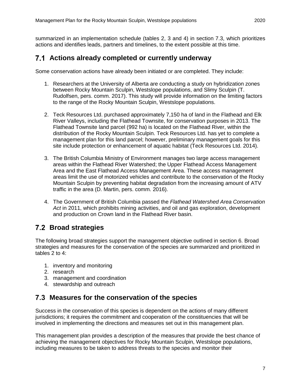summarized in an implementation schedule (tables 2, 3 and 4) in section 7.3, which prioritizes actions and identifies leads, partners and timelines, to the extent possible at this time.

#### <span id="page-11-0"></span>**Actions already completed or currently underway**

Some conservation actions have already been initiated or are completed. They include:

- 1. Researchers at the University of Alberta are conducting a study on hybridization zones between Rocky Mountain Sculpin, Westslope populations, and Slimy Sculpin (T. Rudolfsen, pers. comm. 2017). This study will provide information on the limiting factors to the range of the Rocky Mountain Sculpin, Westslope populations.
- 2. Teck Resources Ltd. purchased approximately 7,150 ha of land in the Flathead and Elk River Valleys, including the Flathead Townsite, for conservation purposes in 2013. The Flathead Townsite land parcel (992 ha) is located on the Flathead River, within the distribution of the Rocky Mountain Sculpin. Teck Resources Ltd. has yet to complete a management plan for this land parcel; however, preliminary management goals for this site include protection or enhancement of aquatic habitat (Teck Resources Ltd. 2014).
- 3. The British Columbia Ministry of Environment manages two large access management areas within the Flathead River Watershed; the Upper Flathead Access Management Area and the East Flathead Access Management Area. These access management areas limit the use of motorized vehicles and contribute to the conservation of the Rocky Mountain Sculpin by preventing habitat degradation from the increasing amount of ATV traffic in the area (D. Martin, pers. comm. 2016).
- 4. The Government of British Columbia passed the *Flathead Watershed Area Conservation Act* in 2011, which prohibits mining activities, and oil and gas exploration, development and production on Crown land in the Flathead River basin.

### <span id="page-11-1"></span>**Broad strategies**

The following broad strategies support the management objective outlined in section 6. Broad strategies and measures for the conservation of the species are summarized and prioritized in tables 2 to 4:

- 1. inventory and monitoring
- 2. research
- 3. management and coordination
- 4. stewardship and outreach

#### <span id="page-11-2"></span>**Measures for the conservation of the species**

Success in the conservation of this species is dependent on the actions of many different jurisdictions; it requires the commitment and cooperation of the constituencies that will be involved in implementing the directions and measures set out in this management plan.

This management plan provides a description of the measures that provide the best chance of achieving the management objectives for Rocky Mountain Sculpin, Westslope populations, including measures to be taken to address threats to the species and monitor their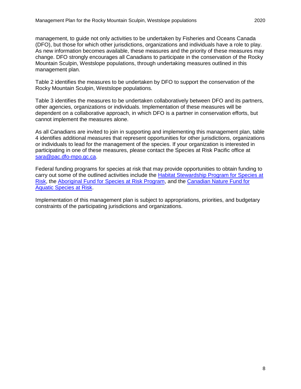management, to guide not only activities to be undertaken by Fisheries and Oceans Canada (DFO), but those for which other jurisdictions, organizations and individuals have a role to play. As new information becomes available, these measures and the priority of these measures may change. DFO strongly encourages all Canadians to participate in the conservation of the Rocky Mountain Sculpin, Westslope populations, through undertaking measures outlined in this management plan.

Table 2 identifies the measures to be undertaken by DFO to support the conservation of the Rocky Mountain Sculpin, Westslope populations.

Table 3 identifies the measures to be undertaken collaboratively between DFO and its partners, other agencies, organizations or individuals. Implementation of these measures will be dependent on a collaborative approach, in which DFO is a partner in conservation efforts, but cannot implement the measures alone.

As all Canadians are invited to join in supporting and implementing this management plan, table 4 identifies additional measures that represent opportunities for other jurisdictions, organizations or individuals to lead for the management of the species. If your organization is interested in participating in one of these measures, please contact the Species at Risk Pacific office at [sara@pac.dfo-mpo.gc.ca.](mailto:sara@pac.dfo-mpo.gc.ca)

Federal funding programs for species at risk that may provide opportunities to obtain funding to carry out some of the outlined activities include the [Habitat Stewardship Program for Species at](https://www.canada.ca/en/environment-climate-change/services/environmental-funding/programs/habitat-stewardship-species-at-risk.html)  [Risk,](https://www.canada.ca/en/environment-climate-change/services/environmental-funding/programs/habitat-stewardship-species-at-risk.html) the [Aboriginal Fund for Species at Risk Program,](https://www.canada.ca/en/environment-climate-change/services/environmental-funding/programs/aboriginal-fund-species-risk.html) and the [Canadian Nature Fund for](https://www.dfo-mpo.gc.ca/species-especes/sara-lep/cnfasar-fnceap/index-eng.html)  [Aquatic Species at Risk.](https://www.dfo-mpo.gc.ca/species-especes/sara-lep/cnfasar-fnceap/index-eng.html)

Implementation of this management plan is subject to appropriations, priorities, and budgetary constraints of the participating jurisdictions and organizations.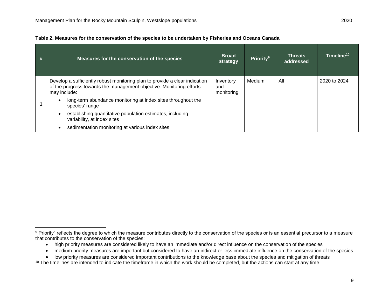$\overline{a}$ 

<span id="page-13-1"></span><span id="page-13-0"></span>

| Table 2. Measures for the conservation of the species to be undertaken by Fisheries and Oceans Canada |  |  |
|-------------------------------------------------------------------------------------------------------|--|--|
|                                                                                                       |  |  |

| # | Measures for the conservation of the species                                                                                                                        | <b>Broad</b><br>strategy       | <b>Priority</b> <sup>9</sup> | <b>Threats</b><br>addressed | Timeline <sup>101</sup> |
|---|---------------------------------------------------------------------------------------------------------------------------------------------------------------------|--------------------------------|------------------------------|-----------------------------|-------------------------|
|   | Develop a sufficiently robust monitoring plan to provide a clear indication<br>of the progress towards the management objective. Monitoring efforts<br>may include: | Inventory<br>and<br>monitoring | Medium                       | All                         | 2020 to 2024            |
|   | long-term abundance monitoring at index sites throughout the<br>species' range                                                                                      |                                |                              |                             |                         |
|   | establishing quantitative population estimates, including<br>variability, at index sites                                                                            |                                |                              |                             |                         |
|   | sedimentation monitoring at various index sites                                                                                                                     |                                |                              |                             |                         |

- high priority measures are considered likely to have an immediate and/or direct influence on the conservation of the species
- medium priority measures are important but considered to have an indirect or less immediate influence on the conservation of the species
- low priority measures are considered important contributions to the knowledge base about the species and mitigation of threats
- <sup>10</sup> The timelines are intended to indicate the timeframe in which the work should be completed, but the actions can start at any time.

<sup>9</sup> Priority" reflects the degree to which the measure contributes directly to the conservation of the species or is an essential precursor to a measure that contributes to the conservation of the species: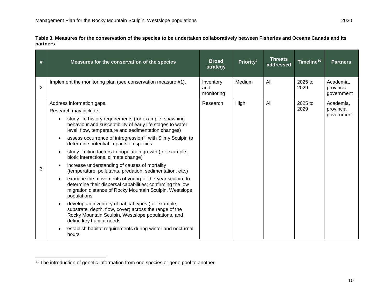**Table 3. Measures for the conservation of the species to be undertaken collaboratively between Fisheries and Oceans Canada and its partners**

| #              | Measures for the conservation of the species                                                                                                                                                                                                                                                                                                                                                                                                                                                                                                                                                                                                                                                                                                                                                                                                                                                                                                                                                                                                         | <b>Broad</b><br>strategy       | Priority <sup>9</sup> | <b>Threats</b><br>addressed | Timeline <sup>10</sup> | <b>Partners</b>                       |
|----------------|------------------------------------------------------------------------------------------------------------------------------------------------------------------------------------------------------------------------------------------------------------------------------------------------------------------------------------------------------------------------------------------------------------------------------------------------------------------------------------------------------------------------------------------------------------------------------------------------------------------------------------------------------------------------------------------------------------------------------------------------------------------------------------------------------------------------------------------------------------------------------------------------------------------------------------------------------------------------------------------------------------------------------------------------------|--------------------------------|-----------------------|-----------------------------|------------------------|---------------------------------------|
| $\overline{2}$ | Implement the monitoring plan (see conservation measure #1).                                                                                                                                                                                                                                                                                                                                                                                                                                                                                                                                                                                                                                                                                                                                                                                                                                                                                                                                                                                         | Inventory<br>and<br>monitoring | Medium                | All                         | 2025 to<br>2029        | Academia,<br>provincial<br>government |
| 3              | Address information gaps.<br>Research may include:<br>study life history requirements (for example, spawning<br>behaviour and susceptibility of early life stages to water<br>level, flow, temperature and sedimentation changes)<br>assess occurrence of introgression <sup>11</sup> with Slimy Sculpin to<br>determine potential impacts on species<br>study limiting factors to population growth (for example,<br>biotic interactions, climate change)<br>increase understanding of causes of mortality<br>(temperature, pollutants, predation, sedimentation, etc.)<br>examine the movements of young-of-the-year sculpin, to<br>determine their dispersal capabilities; confirming the low<br>migration distance of Rocky Mountain Sculpin, Westslope<br>populations<br>develop an inventory of habitat types (for example,<br>substrate, depth, flow, cover) across the range of the<br>Rocky Mountain Sculpin, Westslope populations, and<br>define key habitat needs<br>establish habitat requirements during winter and nocturnal<br>hours | Research                       | High                  | All                         | $2025$ to<br>2029      | Academia,<br>provincial<br>government |

<sup>&</sup>lt;sup>11</sup> The introduction of genetic information from one species or gene pool to another.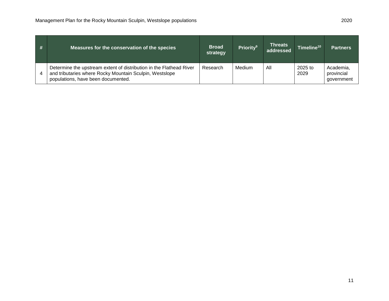| # | Measures for the conservation of the species                                                                                                                         | <b>Broad</b><br>strategy | <b>Priority</b> <sup>9</sup> | <b>Threats</b><br>addressed | Timeline <sup>10</sup> | <b>Partners</b>                       |
|---|----------------------------------------------------------------------------------------------------------------------------------------------------------------------|--------------------------|------------------------------|-----------------------------|------------------------|---------------------------------------|
| 4 | Determine the upstream extent of distribution in the Flathead River<br>and tributaries where Rocky Mountain Sculpin, Westslope<br>populations, have been documented. | Research                 | Medium                       | All                         | 2025 to<br>2029        | Academia,<br>provincial<br>government |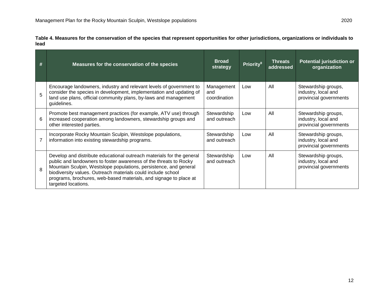| Table 4. Measures for the conservation of the species that represent opportunities for other jurisdictions, organizations or individuals to |  |
|---------------------------------------------------------------------------------------------------------------------------------------------|--|
| lead                                                                                                                                        |  |

| #              | Measures for the conservation of the species                                                                                                                                                                                                                                                                                                                                | <b>Broad</b><br>strategy          | <b>Priority</b> <sup>9</sup> | <b>Threats</b><br>addressed | <b>Potential jurisdiction or</b><br>organization                     |
|----------------|-----------------------------------------------------------------------------------------------------------------------------------------------------------------------------------------------------------------------------------------------------------------------------------------------------------------------------------------------------------------------------|-----------------------------------|------------------------------|-----------------------------|----------------------------------------------------------------------|
| 5              | Encourage landowners, industry and relevant levels of government to<br>consider the species in development, implementation and updating of<br>land use plans, official community plans, by-laws and management<br>guidelines.                                                                                                                                               | Management<br>and<br>coordination | Low                          | All                         | Stewardship groups,<br>industry, local and<br>provincial governments |
| 6              | Promote best management practices (for example, ATV use) through<br>increased cooperation among landowners, stewardship groups and<br>other interested parties.                                                                                                                                                                                                             | Stewardship<br>and outreach       | Low                          | All                         | Stewardship groups,<br>industry, local and<br>provincial governments |
| $\overline{7}$ | Incorporate Rocky Mountain Sculpin, Westslope populations,<br>information into existing stewardship programs.                                                                                                                                                                                                                                                               | Stewardship<br>and outreach       | Low                          | All                         | Stewardship groups,<br>industry, local and<br>provincial governments |
| $\mathsf{R}$   | Develop and distribute educational outreach materials for the general<br>public and landowners to foster awareness of the threats to Rocky<br>Mountain Sculpin, Westslope populations, persistence, and general<br>biodiversity values. Outreach materials could include school<br>programs, brochures, web-based materials, and signage to place at<br>targeted locations. | Stewardship<br>and outreach       | Low                          | All                         | Stewardship groups,<br>industry, local and<br>provincial governments |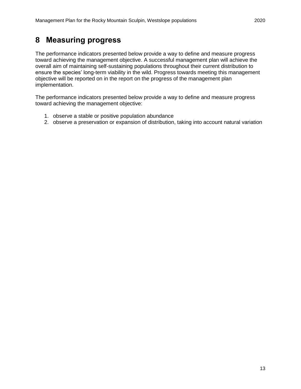### <span id="page-17-0"></span>**8 Measuring progress**

The performance indicators presented below provide a way to define and measure progress toward achieving the management objective. A successful management plan will achieve the overall aim of maintaining self-sustaining populations throughout their current distribution to ensure the species' long-term viability in the wild. Progress towards meeting this management objective will be reported on in the report on the progress of the management plan implementation.

The performance indicators presented below provide a way to define and measure progress toward achieving the management objective:

- 1. observe a stable or positive population abundance
- 2. observe a preservation or expansion of distribution, taking into account natural variation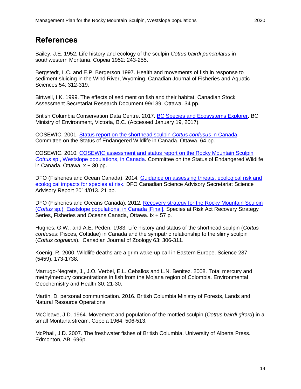### <span id="page-18-0"></span>**References**

Bailey, J.E. 1952. Life history and ecology of the sculpin *Cottus bairdi punctulatus* in southwestern Montana. Copeia 1952: 243-255.

Bergstedt, L.C. and E.P. Bergerson.1997. Health and movements of fish in response to sediment sluicing in the Wind River, Wyoming. Canadian Journal of Fisheries and Aquatic Sciences 54: 312-319.

Birtwell, I.K. 1999. The effects of sediment on fish and their habitat. Canadian Stock Assessment Secretariat Research Document 99/139. Ottawa. 34 pp.

British Columbia Conservation Data Centre. 2017. [BC Species and Ecosystems Explorer.](http://a100.gov.bc.ca/pub/eswp/) BC Ministry of Environment, Victoria, B.C. (Accessed January 19, 2017).

COSEWIC. 2001. [Status report on the shorthead sculpin](https://www.canada.ca/en/environment-climate-change/services/species-risk-public-registry/cosewic-assessments-status-reports/shorthead-sculpin.html) *Cottus confusus* in Canada. Committee on the Status of Endangered Wildlife in Canada. Ottawa. 64 pp.

COSEWIC. 2010. [COSEWIC assessment and status report on the Rocky Mountain Sculpin](https://wildlife-species.canada.ca/species-risk-registry/virtual_sara/files/cosewic/sr_Rocky%20Mountain%20Sculpin_0810_e.pdf)  *Cottus* [sp., Westslope populations, in Canada.](https://wildlife-species.canada.ca/species-risk-registry/virtual_sara/files/cosewic/sr_Rocky%20Mountain%20Sculpin_0810_e.pdf) Committee on the Status of Endangered Wildlife in Canada. Ottawa. x + 30 pp.

DFO (Fisheries and Ocean Canada). 2014. [Guidance on assessing threats, ecological risk and](http://www.dfo-mpo.gc.ca/csas-sccs/Publications/SAR-AS/2014/2014_013-eng.html)  [ecological impacts for species at risk.](http://www.dfo-mpo.gc.ca/csas-sccs/Publications/SAR-AS/2014/2014_013-eng.html) DFO Canadian Science Advisory Secretariat Science Advisory Report 2014/013. 21 pp.

DFO (Fisheries and Oceans Canada). 2012. [Recovery strategy for the Rocky Mountain Sculpin](https://www.sararegistry.gc.ca/virtual_sara/files/plans/rs_chabot_montagnes_rocheuses_rmtn_sculpin_eastslope_1112a_e.pdf)  (*Cottus* [sp.\), Eastslope populations, in Canada \[Final\].](https://www.sararegistry.gc.ca/virtual_sara/files/plans/rs_chabot_montagnes_rocheuses_rmtn_sculpin_eastslope_1112a_e.pdf) Species at Risk Act Recovery Strategy Series, Fisheries and Oceans Canada, Ottawa. ix + 57 p.

Hughes, G.W., and A.E. Peden. 1983. Life history and status of the shorthead sculpin (*Cottus confuses*: Pisces, Cottidae) in Canada and the sympatric relationship to the slimy sculpin (*Cottus cognatus*). Canadian Journal of Zoology 63: 306-311.

Koenig, R. 2000. Wildlife deaths are a grim wake-up call in Eastern Europe. Science 287 (5459): 173-1738.

Marrugo-Negrete, J., J.O. Verbel, E.L. Ceballos and L.N. Benitez. 2008. Total mercury and methylmercury concentrations in fish from the Mojana region of Colombia. Environmental Geochemistry and Health 30: 21-30.

Martin, D. personal communication. 2016. British Columbia Ministry of Forests, Lands and Natural Resource Operations

McCleave, J.D. 1964. Movement and population of the mottled sculpin (*Cottus bairdi girard*) in a small Montana stream. Copeia 1964: 506-513.

McPhail, J.D. 2007. The freshwater fishes of British Columbia. University of Alberta Press. Edmonton, AB. 696p.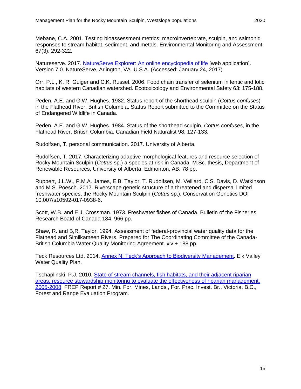Mebane, C.A. 2001. Testing bioassessment metrics: macroinvertebrate, sculpin, and salmonid responses to stream habitat, sediment, and metals. Environmental Monitoring and Assessment 67(3): 292-322.

Natureserve. 2017. [NatureServe Explorer: An online encyclopedia of life](http://explorer.natureserve.org/) [web application]. Version 7.0. NatureServe, Arlington, VA. U.S.A. (Accessed: January 24, 2017)

Orr, P.L., K. R. Guiger and C.K. Russel. 2006. Food chain transfer of selenium in lentic and lotic habitats of western Canadian watershed. Ecotoxicology and Environmental Safety 63: 175-188.

Peden, A.E. and G.W. Hughes. 1982. Status report of the shorthead sculpin (*Cottus confuses*) in the Flathead River, British Columbia. Status Report submitted to the Committee on the Status of Endangered Wildlife in Canada.

Peden, A.E. and G.W. Hughes. 1984. Status of the shorthead sculpin, *Cottus confuses*, in the Flathead River, British Columbia. Canadian Field Naturalist 98: 127-133.

Rudolfsen, T. personal communication. 2017. University of Alberta.

Rudolfsen, T. 2017. Characterizing adaptive morphological features and resource selection of Rocky Mountain Sculpin (*Cottus* sp.) a species at risk in Canada. M.Sc. thesis, Department of Renewable Resources, University of Alberta, Edmonton, AB. 78 pp.

Ruppert, J.L.W., P.M.A. James, E.B. Taylor, T. Rudolfsen, M. Veillard, C.S. Davis, D. Watkinson and M.S. Poesch. 2017. Riverscape genetic structure of a threatened and dispersal limited freshwater species, the Rocky Mountain Sculpin (*Cottus* sp.). Conservation Genetics DOI 10.007/s10592-017-0938-6.

Scott, W.B. and E.J. Crossman. 1973. Freshwater fishes of Canada. Bulletin of the Fisheries Research Boatd of Canada 184. 966 pp.

Shaw, R. and B,R, Taylor. 1994. Assessment of federal-provincial water quality data for the Flathead and Similkameen Rivers. Prepared for The Coordinating Committee of the Canada-British Columbia Water Quality Monitoring Agreement. xiv + 188 pp.

Teck Resources Ltd. 2014. [Annex N: Teck's Approach to Biodiversity Management.](https://www2.gov.bc.ca/assets/gov/environment/waste-management/industrial-waste/industrial-waste/mining-smelt-energy/area-based-man-plan/annexes/n_tecks_approach_biodiversity_management.pdf) Elk Valley Water Quality Plan.

Tschaplinski, P.J. 2010. [State of stream channels, fish habitats, and their adjacent riparian](https://www.for.gov.bc.ca/ftp/hfp/external/!publish/frep/reports/FREP_Report_27.pdf)  [areas: resource stewardship monitoring to evaluate the effectiveness of riparian management,](https://www.for.gov.bc.ca/ftp/hfp/external/!publish/frep/reports/FREP_Report_27.pdf)  [2005-2008.](https://www.for.gov.bc.ca/ftp/hfp/external/!publish/frep/reports/FREP_Report_27.pdf) FREP Report # 27. Min. For. Mines, Lands., For. Prac. Invest. Br., Victoria, B.C., Forest and Range Evaluation Program.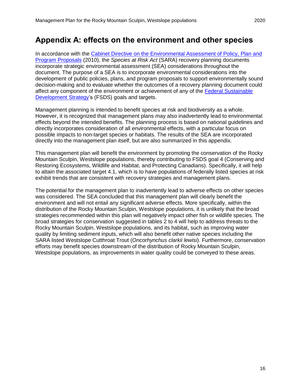# <span id="page-20-0"></span>**Appendix A: effects on the environment and other species**

In accordance with the Cabinet Directive on the Environmental Assessment of Policy, Plan and [Program Proposals](http://www.ceaa.gc.ca/default.asp?lang=En&n=B3186435-1) (2010), the *Species at Risk Act* (SARA) recovery planning documents incorporate strategic environmental assessment (SEA) considerations throughout the document. The purpose of a SEA is to incorporate environmental considerations into the development of public policies, plans, and program proposals to support environmentally sound decision-making and to evaluate whether the outcomes of a recovery planning document could affect any component of the environment or achievement of any of the [Federal Sustainable](http://fsds-sfdd.ca/index.html#/en/intro/)  [Development Strategy'](http://fsds-sfdd.ca/index.html#/en/intro/)s (FSDS) goals and targets.

Management planning is intended to benefit species at risk and biodiversity as a whole. However, it is recognized that management plans may also inadvertently lead to environmental effects beyond the intended benefits. The planning process is based on national guidelines and directly incorporates consideration of all environmental effects, with a particular focus on possible impacts to non-target species or habitats. The results of the SEA are incorporated directly into the management plan itself, but are also summarized in this appendix.

This management plan will benefit the environment by promoting the conservation of the Rocky Mountain Sculpin, Westslope populations, thereby contributing to FSDS goal 4 (Conserving and Restoring Ecosystems, Wildlife and Habitat, and Protecting Canadians). Specifically, it will help to attain the associated target 4.1, which is to have populations of federally listed species at risk exhibit trends that are consistent with recovery strategies and management plans.

The potential for the management plan to inadvertently lead to adverse effects on other species was considered. The SEA concluded that this management plan will clearly benefit the environment and will not entail any significant adverse effects. More specifically, within the distribution of the Rocky Mountain Sculpin, Westslope populations, it is unlikely that the broad strategies recommended within this plan will negatively impact other fish or wildlife species. The broad strategies for conservation suggested in tables 2 to 4 will help to address threats to the Rocky Mountain Sculpin, Westslope populations, and its habitat, such as improving water quality by limiting sediment inputs, which will also benefit other native species including the SARA listed Westslope Cutthroat Trout (*Oncorhynchus clarkii lewisi*). Furthermore, conservation efforts may benefit species downstream of the distribution of Rocky Mountain Sculpin, Westslope populations, as improvements in water quality could be conveyed to these areas.